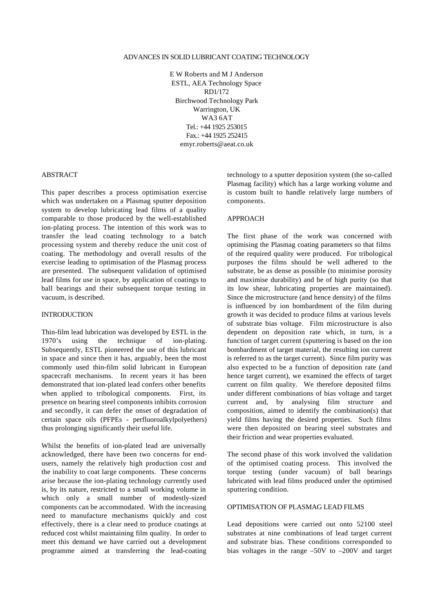#### ADVANCES IN SOLID LUBRICANT COATING TECHNOLOGY

E W Roberts and M J Anderson ESTL, AEA Technology Space RD1/172 Birchwood Technology Park Warrington, UK WA3 6AT Tel.: +44 1925 253015 Fax.: +44 1925 252415 emyr.roberts@aeat.co.uk

### ABSTRACT

This paper describes a process optimisation exercise which was undertaken on a Plasmag sputter deposition system to develop lubricating lead films of a quality comparable to those produced by the well-established ion-plating process. The intention of this work was to transfer the lead coating technology to a batch processing system and thereby reduce the unit cost of coating. The methodology and overall results of the exercise leading to optimisation of the Plasmag process are presented. The subsequent validation of optimised lead films for use in space, by application of coatings to ball bearings and their subsequent torque testing in vacuum, is described.

#### INTRODUCTION

Thin-film lead lubrication was developed by ESTL in the 1970's using the technique of ion-plating. Subsequently, ESTL pioneered the use of this lubricant in space and since then it has, arguably, been the most commonly used thin-film solid lubricant in European spacecraft mechanisms. In recent years it has been demonstrated that ion-plated lead confers other benefits when applied to tribological components. First, its presence on bearing steel components inhibits corrosion and secondly, it can defer the onset of degradation of certain space oils (PFPEs - perfluoroalkylpolyethers) thus prolonging significantly their useful life.

Whilst the benefits of ion-plated lead are universally acknowledged, there have been two concerns for endusers, namely the relatively high production cost and the inability to coat large components. These concerns arise because the ion-plating technology currently used is, by its nature, restricted to a small working volume in which only a small number of modestly-sized components can be accommodated. With the increasing need to manufacture mechanisms quickly and cost effectively, there is a clear need to produce coatings at reduced cost whilst maintaining film quality. In order to meet this demand we have carried out a development programme aimed at transferring the lead-coating

technology to a sputter deposition system (the so-called Plasmag facility) which has a large working volume and is custom built to handle relatively large numbers of components.

## APPROACH

The first phase of the work was concerned with optimising the Plasmag coating parameters so that films of the required quality were produced. For tribological purposes the films should be well adhered to the substrate, be as dense as possible (to minimise porosity and maximise durability) and be of high purity (so that its low shear, lubricating properties are maintained). Since the microstructure (and hence density) of the films is influenced by ion bombardment of the film during growth it was decided to produce films at various levels of substrate bias voltage. Film microstructure is also dependent on deposition rate which, in turn, is a function of target current (sputtering is based on the ion bombardment of target material, the resulting ion current is referred to as the target current). Since film purity was also expected to be a function of deposition rate (and hence target current), we examined the effects of target current on film quality. We therefore deposited films under different combinations of bias voltage and target current and, by analysing film structure and composition, aimed to identify the combination(s) that yield films having the desired properties. Such films were then deposited on bearing steel substrates and their friction and wear properties evaluated.

The second phase of this work involved the validation of the optimised coating process. This involved the torque testing (under vacuum) of ball bearings lubricated with lead films produced under the optimised sputtering condition.

## OPTIMISATION OF PLASMAG LEAD FILMS

Lead depositions were carried out onto 52100 steel substrates at nine combinations of lead target current and substrate bias. These conditions corresponded to bias voltages in the range –50V to –200V and target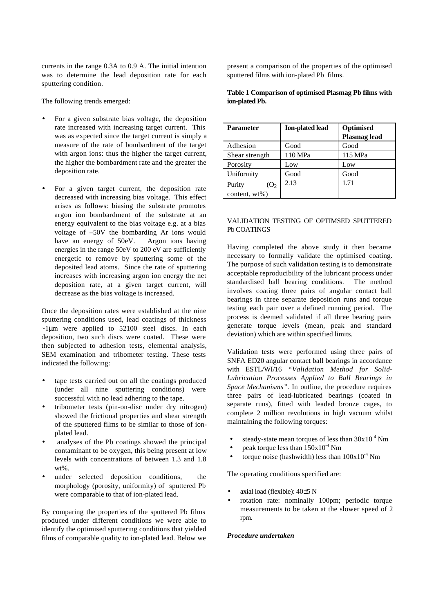currents in the range 0.3A to 0.9 A. The initial intention was to determine the lead deposition rate for each sputtering condition.

The following trends emerged:

- For a given substrate bias voltage, the deposition rate increased with increasing target current. This was as expected since the target current is simply a measure of the rate of bombardment of the target with argon ions: thus the higher the target current, the higher the bombardment rate and the greater the deposition rate.
- For a given target current, the deposition rate decreased with increasing bias voltage. This effect arises as follows: biasing the substrate promotes argon ion bombardment of the substrate at an energy equivalent to the bias voltage e.g. at a bias voltage of –50V the bombarding Ar ions would have an energy of 50eV. Argon ions having energies in the range 50eV to 200 eV are sufficiently energetic to remove by sputtering some of the deposited lead atoms. Since the rate of sputtering increases with increasing argon ion energy the net deposition rate, at a given target current, will decrease as the bias voltage is increased.

Once the deposition rates were established at the nine sputtering conditions used, lead coatings of thickness  $\sim$ 1µm were applied to 52100 steel discs. In each deposition, two such discs were coated. These were then subjected to adhesion tests, elemental analysis, SEM examination and tribometer testing. These tests indicated the following:

- tape tests carried out on all the coatings produced (under all nine sputtering conditions) were successful with no lead adhering to the tape.
- tribometer tests (pin-on-disc under dry nitrogen) showed the frictional properties and shear strength of the sputtered films to be similar to those of ionplated lead.
- analyses of the Pb coatings showed the principal contaminant to be oxygen, this being present at low levels with concentrations of between 1.3 and 1.8  $wt\%$
- under selected deposition conditions, the morphology (porosity, uniformity) of sputtered Pb were comparable to that of ion-plated lead.

By comparing the properties of the sputtered Pb films produced under different conditions we were able to identify the optimised sputtering conditions that yielded films of comparable quality to ion-plated lead. Below we

present a comparison of the properties of the optimised sputtered films with ion-plated Pb films.

|                | Table 1 Comparison of optimised Plasmag Pb films with |  |  |
|----------------|-------------------------------------------------------|--|--|
| ion-plated Pb. |                                                       |  |  |

| <b>Parameter</b>            | <b>Ion-plated lead</b> | Optimised<br><b>Plasmag lead</b> |
|-----------------------------|------------------------|----------------------------------|
| Adhesion                    | Good                   | Good                             |
| Shear strength              | 110 MPa                | 115 MPa                          |
| Porosity                    | Low                    | Low                              |
| Uniformity                  | Good                   | Good                             |
| Purity<br>(O <sub>2</sub> ) | 2.13                   | 1.71                             |
| content, wt%)               |                        |                                  |

## VALIDATION TESTING OF OPTIMSED SPUTTERED Pb COATINGS

Having completed the above study it then became necessary to formally validate the optimised coating. The purpose of such validation testing is to demonstrate acceptable reproducibility of the lubricant process under standardised ball bearing conditions. The method involves coating three pairs of angular contact ball bearings in three separate deposition runs and torque testing each pair over a defined running period. The process is deemed validated if all three bearing pairs generate torque levels (mean, peak and standard deviation) which are within specified limits.

Validation tests were performed using three pairs of SNFA ED20 angular contact ball bearings in accordance with ESTL/WI/16 *"Validation Method for Solid-Lubrication Processes Applied to Ball Bearings in Space Mechanisms".* In outline, the procedure requires three pairs of lead-lubricated bearings (coated in separate runs), fitted with leaded bronze cages, to complete 2 million revolutions in high vacuum whilst maintaining the following torques:

- steady-state mean torques of less than  $30x10^{-4}$  Nm
- peak torque less than  $150x10^{-4}$  Nm
- torque noise (hashwidth) less than  $100x10^{-4}$  Nm

The operating conditions specified are:

- axial load (flexible): 40±5 N
- rotation rate: nominally 100pm; periodic torque measurements to be taken at the slower speed of 2 rpm.

## *Procedure undertaken*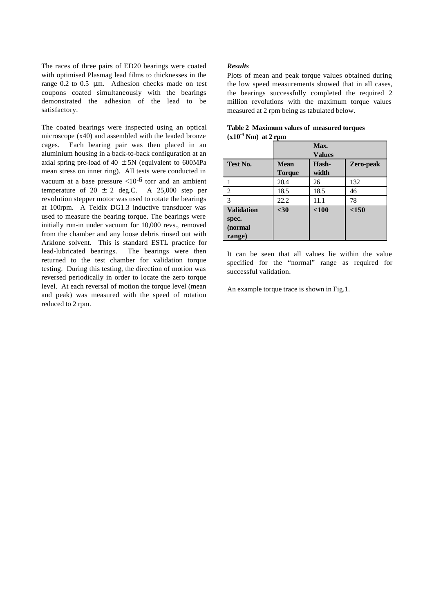The races of three pairs of ED20 bearings were coated with optimised Plasmag lead films to thicknesses in the range 0.2 to 0.5 μm. Adhesion checks made on test coupons coated simultaneously with the bearings demonstrated the adhesion of the lead to be satisfactory.

The coated bearings were inspected using an optical microscope (x40) and assembled with the leaded bronze cages. Each bearing pair was then placed in an aluminium housing in a back-to-back configuration at an axial spring pre-load of  $40 \pm 5N$  (equivalent to 600MPa mean stress on inner ring). All tests were conducted in vacuum at a base pressure  $\langle 10^{-6}$  torr and an ambient temperature of  $20 \pm 2$  deg.C. A 25,000 step per revolution stepper motor was used to rotate the bearings at 100rpm. A Teldix DG1.3 inductive transducer was used to measure the bearing torque. The bearings were initially run-in under vacuum for 10,000 revs., removed from the chamber and any loose debris rinsed out with Arklone solvent. This is standard ESTL practice for lead-lubricated bearings. The bearings were then returned to the test chamber for validation torque testing. During this testing, the direction of motion was reversed periodically in order to locate the zero torque level. At each reversal of motion the torque level (mean and peak) was measured with the speed of rotation reduced to 2 rpm.

### *Results*

Plots of mean and peak torque values obtained during the low speed measurements showed that in all cases, the bearings successfully completed the required 2 million revolutions with the maximum torque values measured at 2 rpm being as tabulated below.

|                   |               | Max.          |           |  |  |
|-------------------|---------------|---------------|-----------|--|--|
|                   |               | <b>Values</b> |           |  |  |
| Test No.          | <b>Mean</b>   | Hash-         | Zero-peak |  |  |
|                   | <b>Torque</b> | width         |           |  |  |
|                   | 20.4          | 26            | 132       |  |  |
| 2                 | 18.5          | 18.5          | 46        |  |  |
| $\mathcal{R}$     | 22.2          | 11.1          | 78        |  |  |
| <b>Validation</b> | $30$          | $<$ 100       | < 150     |  |  |
| spec.             |               |               |           |  |  |
| (normal           |               |               |           |  |  |
| range)            |               |               |           |  |  |

| Table 2 Maximum values of measured torques |  |
|--------------------------------------------|--|
| $(x10^4)$ Nm at 2 rpm                      |  |

It can be seen that all values lie within the value specified for the "normal" range as required for successful validation.

An example torque trace is shown in Fig.1.